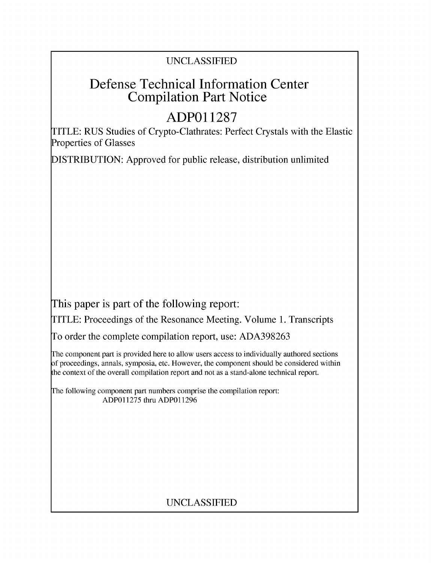## UNCLASSIFIED

# Defense Technical Information Center Compilation Part Notice

# **ADPO1 1287**

TITLE: RUS Studies of Crypto-Clathrates: Perfect Crystals with the Elastic Properties of Glasses

DISTRIBUTION: Approved for public release, distribution unlimited

This paper is part of the following report:

TITLE: Proceedings of the Resonance Meeting. Volume 1. Transcripts

To order the complete compilation report, use: ADA398263

The component part is provided here to allow users access to individually authored sections f proceedings, annals, symposia, etc. However, the component should be considered within [he context of the overall compilation report and not as a stand-alone technical report.

The following component part numbers comprise the compilation report: ADP011275 thru ADP011296

## UNCLASSIFIED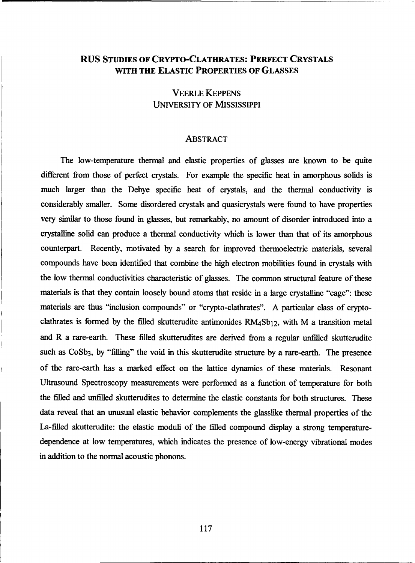### **RUS STUDIES** OF CRYPTO-CLATHRATES: PERFECT CRYSTALS WITH THE ELASTIC PROPERTIES OF **GLASSES**

### VEERLE KEPPENS **UNIVERSITY** OF MISSISSIPPI

#### ABSTRACT

The low-temperature thermal and elastic properties of glasses are known to be quite different from those of perfect crystals. For example the specific heat in amorphous solids is much larger than the Debye specific heat of crystals, and the thermal conductivity is considerably smaller. Some disordered crystals and quasicrystals were found to have properties very similar to those found in glasses, but remarkably, no amount of disorder introduced into a crystalline solid can produce a thermal conductivity which is lower than that of its amorphous counterpart. Recently, motivated by a search for improved thermoelectric materials, several compounds have been identified that combine the high electron mobilities found in crystals with the low thermal conductivities characteristic of glasses. The common structural feature of these materials is that they contain loosely bound atoms that reside in a large crystalline "cage": these materials are thus "inclusion compounds" or "crypto-clathrates". A particular class of cryptoclathrates is formed by the filled skutterudite antimonides RM4Sb<sub>12</sub>, with M a transition metal and R a rare-earth. These filled skutterudites are derived from a regular unfilled skutterudite such as CoSb<sub>3</sub>, by "filling" the void in this skutterudite structure by a rare-earth. The presence of the rare-earth has a marked effect on the lattice dynamics of these materials. Resonant Ultrasound Spectroscopy measurements were performed as a function of temperature for both the filled and unfilled skutterudites to determine the elastic constants for both structures. These data reveal that an unusual elastic behavior complements the glasslike thermal properties of the La-filled skutterudite: the elastic moduli of the filled compound display a strong temperaturedependence at low temperatures, which indicates the presence of low-energy vibrational modes in addition to the normal acoustic phonons.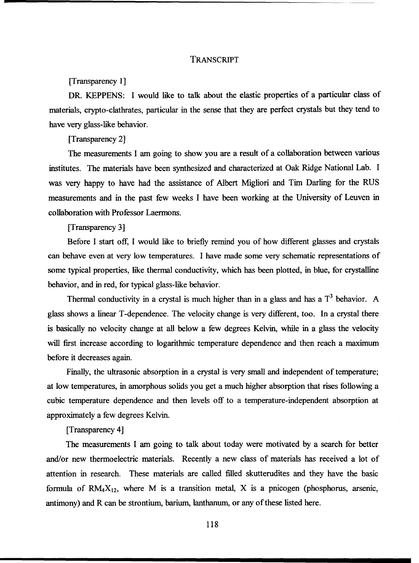#### TRANSCRIPT

#### [Transparency 1]

DR. KEPPENS: I would like to talk about the elastic properties of a particular class of materials, crypto-clathrates, particular in the sense that they are perfect crystals but they tend to have very glass-like behavior.

[Transparency 2]

The measurements I am going to show you are a result of a collaboration between various institutes. The materials have been synthesized and characterized at Oak Ridge National Lab. I was very happy to have had the assistance of Albert Migliori and Tim Darling for the RUS measurements and in the past few weeks I have been working at the University of Leuven in collaboration with Professor Laermons.

[Transparency 3]

Before I start off, I would like to briefly remind you of how different glasses and crystals can behave even at very low temperatures. I have made some very schematic representations of some typical properties, like thermal conductivity, which has been plotted, in blue, for crystalline behavior, and in red, for typical glass-like behavior.

Thermal conductivity in a crystal is much higher than in a glass and has a  $T<sup>3</sup>$  behavior. A glass shows a linear T-dependence. The velocity change is very different, too. In a crystal there is basically no velocity change at all below a few degrees Kelvin, while in a glass the velocity will first increase according to logarithmic temperature dependence and then reach a maximum before it decreases again.

Finally, the ultrasonic absorption in a crystal is very small and independent of temperature; at low temperatures, in amorphous solids you get a much higher absorption that rises following a cubic temperature dependence and then levels off to a temperature-independent absorption at approximately a few degrees Kelvin.

#### [Transparency 4]

The measurements I am going to talk about today were motivated by a search for better and/or new thermoelectric materials. Recently a new class of materials has received a lot of attention in research. These materials are called filled skutterudites and they have the basic formula of  $RM_4X_{12}$ , where M is a transition metal, X is a pnicogen (phosphorus, arsenic, antimony) and R can be strontium, barium, lanthanum, or any of these listed here.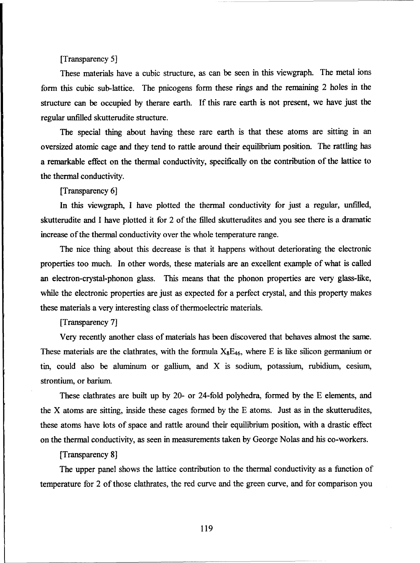#### [Transparency 5]

These materials have a cubic structure, as can be seen in this viewgraph. The metal ions form this cubic sub-lattice. The pnicogens form these rings and the remaining 2 holes in the structure can be occupied by therare earth. If this rare earth is not present, we have just the regular unfilled skutterudite structure.

The special thing about having these rare earth is that these atoms are sitting in an oversized atomic cage and they tend to rattle around their equilibrium position. The rattling has a remarkable effect on the thermal conductivity, specifically on the contribution of the lattice to the thermal conductivity.

[Transparency 6]

In this viewgraph, I have plotted the thermal conductivity for just a regular, unfilled, skutterudite and I have plotted it for 2 of the filled skutterudites and you see there is a dramatic increase of the thermal conductivity over the whole temperature range.

The nice thing about this decrease is that it happens without deteriorating the electronic properties too much. In other words, these materials are an excellent example of what is called an electron-crystal-phonon glass. This means that the phonon properties are very glass-like, while the electronic properties are just as expected for a perfect crystal, and this property makes these materials a very interesting class of thermoelectric materials.

[Transparency 7]

Very recently another class of materials has been discovered that behaves almost the same. These materials are the clathrates, with the formula  $X_8E_{46}$ , where E is like silicon germanium or tin, could also be aluminum or gallium, and X is sodium, potassium, rubidium, cesium, strontium, or barium.

These clathrates are built up by 20- or 24-fold polyhedra, formed by the **E** elements, and the X atoms are sitting, inside these cages formed by the **E** atoms. Just as in the skutterudites, these atoms have lots of space and rattle around their equilibrium position, with a drastic effect on the thermal conductivity, as seen in measurements taken by George Nolas and his co-workers.

[Transparency 8]

The upper panel shows the lattice contribution to the thermal conductivity as a function of temperature for 2 of those clathrates, the red curve and the green curve, and for comparison you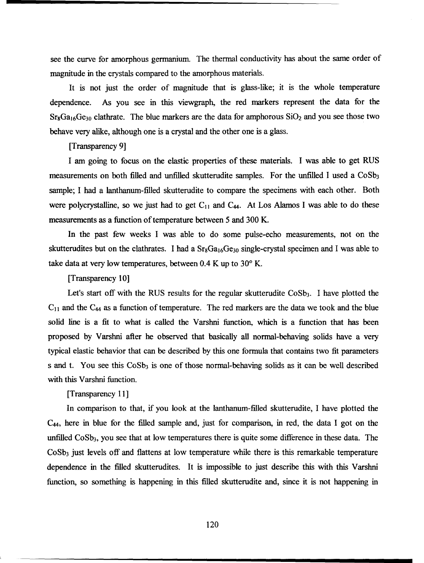see the curve for amorphous germaniun. The thermal conductivity has about the same order of magnitude in the crystals compared to the amorphous materials.

It is not just the order of magnitude that is glass-like; it is the whole temperature dependence. As you see in this viewgraph, the red markers represent the data for the  $Sr_8Ga_{16}Ge_{30}$  clathrate. The blue markers are the data for amphorous  $SiO_2$  and you see those two behave very alike, although one is a crystal and the other one is a glass.

#### [Transparency 9]

I am going to focus on the elastic properties of these materials. I was able to get RUS measurements on both filled and unfilled skutterudite samples. For the unfilled I used a  $CoSb<sub>3</sub>$ sample; I had a lanthanum-filled skutterudite to compare the specimens with each other. Both were polycrystalline, so we just had to get  $C_{11}$  and  $C_{44}$ . At Los Alamos I was able to do these measurements as a function of temperature between 5 and 300 K.

In the past few weeks I was able to do some pulse-echo measurements, not on the skutterudites but on the clathrates. I had a  $Sr_8Ga_{16}Ge_{30}$  single-crystal specimen and I was able to take data at very low temperatures, between 0.4 K up to **30'** K.

#### [Transparency 10]

Let's start off with the RUS results for the regular skutterudite  $CoSb<sub>3</sub>$ . I have plotted the **C1I** and the C44 as a function of temperature. The red markers are the data we took and the blue solid line is a fit to what is called the Varshni function, which is a function that has been proposed by Varshni after he observed that basically all normal-behaving solids have a very typical elastic behavior that can be described by this one formula that contains two fit parameters s and t. You see this  $\cos b_3$  is one of those normal-behaving solids as it can be well described with this Varshni function.

#### [Transparency 11]

In comparison to that, if you look at the lanthanum-filled skutterudite, I have plotted the C44, here in blue for the filled sample and, just for comparison, in red, the data I got on the unfilled  $CoSb<sub>3</sub>$ , you see that at low temperatures there is quite some difference in these data. The  $CoSb<sub>3</sub>$  just levels off and flattens at low temperature while there is this remarkable temperature dependence in the filled skutterudites. It is impossible to just describe this with this Varshni function, so something is happening in this filled skutterudite and, since it is not happening in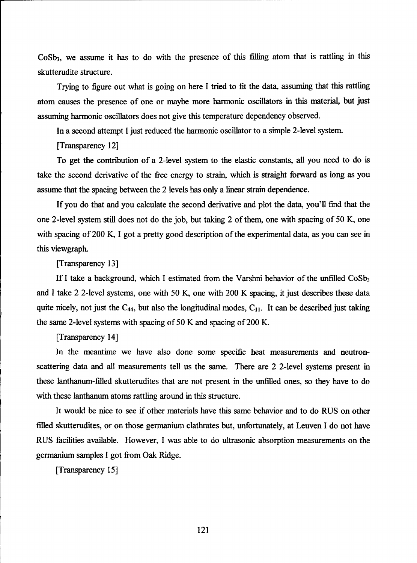$CoSb<sub>3</sub>$ , we assume it has to do with the presence of this filling atom that is rattling in this skutterudite structure.

Trying to figure out what is going on here I tried to fit the data, assuming that this rattling atom causes the presence of one or maybe more harmonic oscillators in this material, but just assuming harmonic oscillators does not give this temperature dependency observed.

In a second attempt I just reduced the harmonic oscillator to a simple 2-level system.

[Transparency 12]

To get the contribution of a 2-level system to the elastic constants, all you need to do is take the second derivative of the free energy to strain, which is straight fbrward as long as you assume that the spacing between the 2 levels has only a linear strain dependence.

If you do that and you calculate the second derivative and plot the data, you'll find that the one 2-level system still does not do the job, but taking 2 of them, one with spacing of 50 K, one with spacing of 200 K, I got a pretty good description of the experimental data, as you can see in this viewgraph.

[Transparency 13]

If I take a background, which I estimated from the Varshni behavior of the unfilled  $\cos b_3$ and I take 2 2-level systems, one with 50 K, one with 200 K spacing, it just describes these data quite nicely, not just the C<sub>44</sub>, but also the longitudinal modes, C<sub>11</sub>. It can be described just taking the same 2-level systems with spacing of 50 K and spacing of 200 K.

[Transparency 14]

In the meantime we have also done some specific heat measurements and neutronscattering data and all measurements tell us the same. There are 2 2-level systems present in these lanthanum-filled skutterudites that are not present in the unfilled ones, so they have to do with these lanthanum atoms rattling around in this structure.

It would be nice to see if other materials have this same behavior and to do RUS on other filled skutterudites, or on those germanium clathrates but, unfortunately, at Leuven I do not have RUS facilities available. However, I was able to do ultrasonic absorption measurements on the germanium samples I got from Oak Ridge.

[Transparency *15]*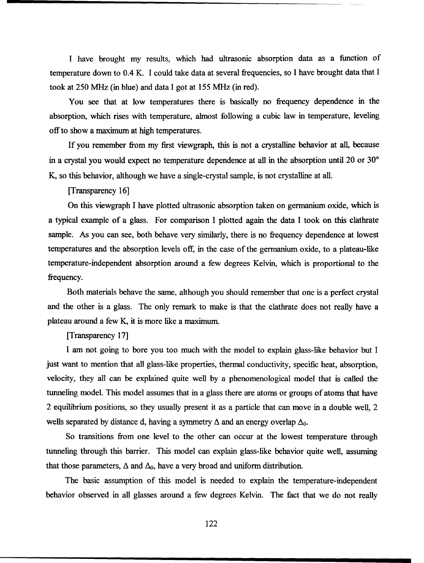I have brought my results, which had ultrasonic absorption data as a function of temperature down to 0.4 K. I could take data at several frequencies, so I have brought data that I took at 250 MHz (in blue) and data I got at 155 MHz (in red).

You see that at low temperatures there is basically no frequency dependence in the absorption, which rises with temperature, almost following a cubic law in temperature, leveling off to show a maximum at high temperatures.

If you remember from my first viewgraph, this is not a crystalline behavior at all, because in a crystal you would expect no temperature dependence at all in the absorption until 20 or 30<sup>°</sup> K, so this behavior, although we have a single-crystal sample, is not crystalline at all.

[Transparency 16]

On this viewgraph I have plotted ultrasonic absorption taken on germanium oxide, which is a typical example of a glass. For comparison I plotted again the data I took on this clathrate sample. As you can see, both behave very similarly, there is no frequency dependence at lowest temperatures and the absorption levels off, in the case of the germanium oxide, to a plateau-like temperature-independent absorption around a few degrees Kelvin, which is proportional to the frequency.

Both materials behave the same, although you should remember that one is a perfect crystal and the other is a glass. The only remark to make is that the clathrate does not really have a plateau around a few K, it is more like a maximum.

[Transparency 17]

I am not going to bore you too much with the model to explain glass-like behavior but I just want to mention that all glass-like properties, thermal conductivity, specific heat, absorption, velocity, they all can be explained quite well by a phenomenological model that is called the tunneling model. This model assumes that in a glass there are atoms or groups of atoms that have 2 equilibrium positions, so they usually present it as a particle that can move in a double well, 2 wells separated by distance d, having a symmetry  $\Delta$  and an energy overlap  $\Delta_0$ .

So transitions from one level to the other can occur at the lowest temperature through tunneling through this barrier. This model can explain glass-like behavior quite well, assuming that those parameters,  $\Delta$  and  $\Delta_0$ , have a very broad and uniform distribution.

The basic assumption of this model is needed to explain the temperature-independent behavior observed in all glasses around a few degrees Kelvin. The fact that we do not really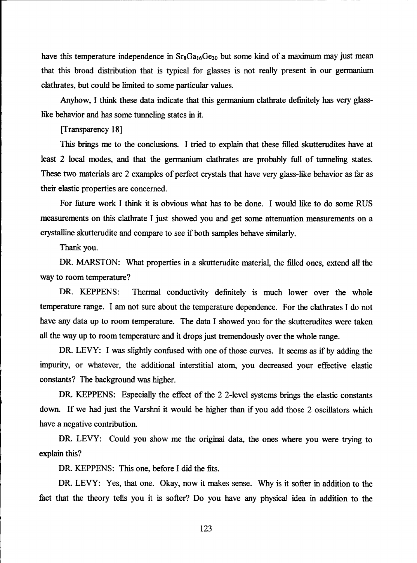have this temperature independence in  $Sr_8Ga_{16}Ge_{30}$  but some kind of a maximum may just mean that this broad distribution that is typical for glasses is not really present in our germanium clathrates, but could be limited to some particular values.

Anyhow, I think these data indicate that this germanium clathrate definitely has very glasslike behavior and has some tunneling states in it.

[Transparency 18]

This brings me to the conclusions. I tried to explain that these filled skutterudites have at least 2 local modes, and that the germanium clathrates are probably full of tunneling states. These two materials are 2 examples of perfect crystals that have very glass-like behavior as far as their elastic properties are concerned.

For future work I think it is obvious what has to be done. I would like to do some RUS measurements on this clathrate I just showed you and get some attenuation measurements on a crystalline skutterudite and compare to see if both samples behave similarly.

Thank you.

DR. MARSTON: What properties in a skutterudite material, the filled ones, extend all the way to room temperature?

DR. KEPPENS: Thermal conductivity definitely is much lower over the whole temperature range. I am not sure about the temperature dependence. For the clathrates I do not have any data up to room temperature. The data I showed you for the skutterudites were taken all the way up to room temperature and it drops just tremendously over the whole range.

DR. LEVY: I was slightly confused with one of those curves. It seems as if by adding the impurity, or whatever, the additional interstitial atom, you decreased your effective elastic constants? The background was higher.

DR. KEPPENS: Especially the effect of the 2 2-level systems brings the elastic constants down. If we had just the Varshni it would be higher than if you add those 2 oscillators which have a negative contribution.

DR. LEVY: Could you show me the original data, the ones where you were trying to explain this?

DR. KEPPENS: This one, before I did the fits.

DR. LEVY: Yes, that one. Okay, now it makes sense. Why is it softer in addition to the fact that the theory tells you it is softer? Do you have any physical idea in addition to the